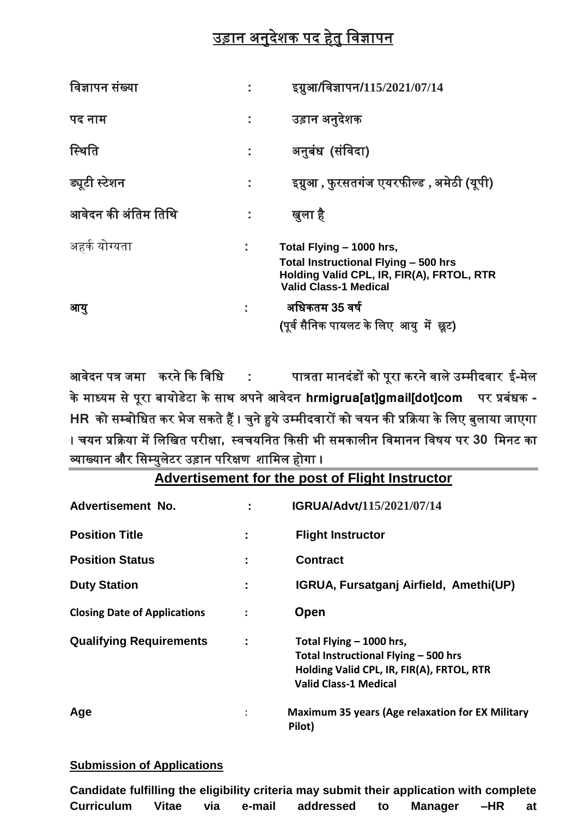## उड़ान अनुदेशक पद हेतु विज्ञापन

| विज्ञापन संख्या     | इग्नुआ/विज्ञापन/115/2021/07/14                                                                                                                |
|---------------------|-----------------------------------------------------------------------------------------------------------------------------------------------|
| पद नाम              | उड़ान अनुदेशक                                                                                                                                 |
| स्थिति              | अनुबंध (संविदा)                                                                                                                               |
| ड्यूटी स्टेशन       | इग्नुआ , फुरसतगंज एयरफील्ड , अमेठी (यूपी)                                                                                                     |
| आवेदन की अंतिम तिथि | खुला है                                                                                                                                       |
| अहर्क योग्यता       | Total Flying – 1000 hrs,<br>Total Instructional Flying - 500 hrs<br>Holding Valid CPL, IR, FIR(A), FRTOL, RTR<br><b>Valid Class-1 Medical</b> |
| आय्                 | अधिकतम 35 वर्ष<br>(पूर्व सैनिक पायलट के लिए आयु में छूट)                                                                                      |

आिेदन पत्र जमा करने कक विवध **:** पात्रता मानदंडों को पूरा करने िाले उम्मीदिार ई**-**मेल के माध्यम से पूरा बायोडेटा के साि अपने आिेदन **hrmigrua[at]gmail[dot]com** पर प्रबंधक **- HR** को सम्बोवधत कर भेज सकते हैं । चुने हुये उम्मीदिारों को चयन की प्रकिया के वलए बुलाया जाएगा । चयन प्रकिया में वलवखत परीक्षा**,** थिचयवनत ककसी भी समकालीन विमानन विर्य पर **30** वमनट का व्याख्यान और वसम्युलेटर उड़ान पररक्षण शावमल होगा ।

| Advertisement No.                   |                | IGRUA/Advt/115/2021/07/14                                                                                                                     |
|-------------------------------------|----------------|-----------------------------------------------------------------------------------------------------------------------------------------------|
| <b>Position Title</b>               | ÷              | <b>Flight Instructor</b>                                                                                                                      |
| <b>Position Status</b>              |                | <b>Contract</b>                                                                                                                               |
| <b>Duty Station</b>                 | I              | IGRUA, Fursatganj Airfield, Amethi(UP)                                                                                                        |
| <b>Closing Date of Applications</b> | $\ddot{\cdot}$ | Open                                                                                                                                          |
| <b>Qualifying Requirements</b>      | I              | Total Flying - 1000 hrs,<br>Total Instructional Flying - 500 hrs<br>Holding Valid CPL, IR, FIR(A), FRTOL, RTR<br><b>Valid Class-1 Medical</b> |
| Age                                 |                | <b>Maximum 35 years (Age relaxation for EX Military</b><br>Pilot)                                                                             |

## **Advertisement for the post of Flight Instructor**

## **Submission of Applications**

|                   |       |     |        | Candidate fulfilling the eligibility criteria may submit their application with complete |    |         |     |    |
|-------------------|-------|-----|--------|------------------------------------------------------------------------------------------|----|---------|-----|----|
| <b>Curriculum</b> | Vitae | via | e-mail | addressed                                                                                | to | Manager | -HR | at |